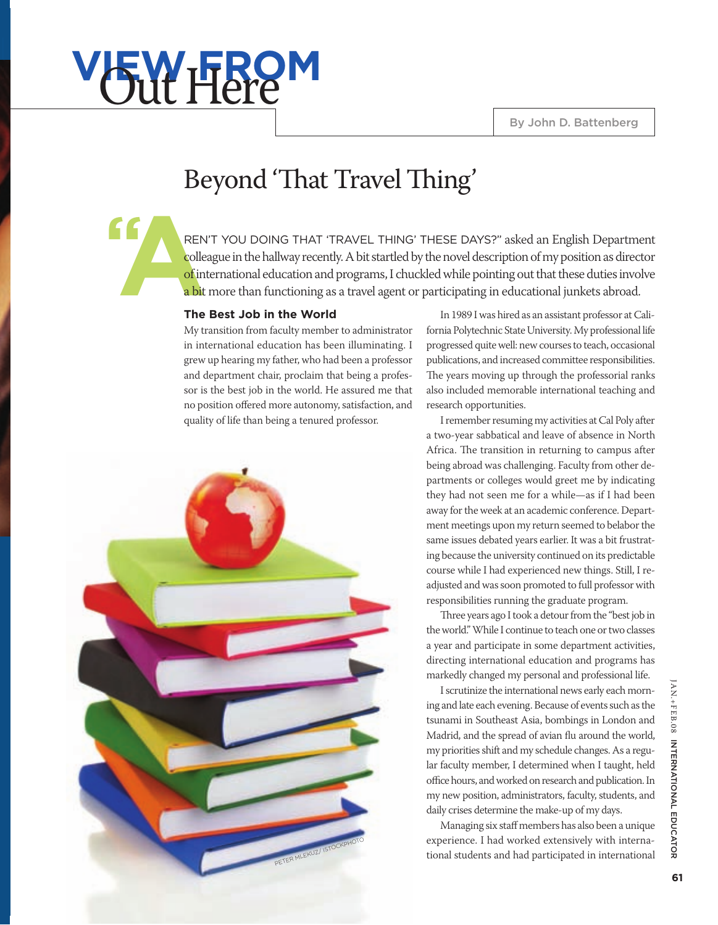# **v<sub>5</sub>W FROM**

**"**

## Beyond 'That Travel Thing'

**A** REN'T YOU DOING THAT 'TRAVEL THING' THESE DAYS?" asked an English Department colleague in the hallway recently. A bit startled by the novel description of my position as director of international education and programs, I chuckled while pointing out that these duties involve a bit more than functioning as a travel agent or participating in educational junkets abroad.

### **The Best Job in the World**

My transition from faculty member to administrator in international education has been illuminating. I grew up hearing my father, who had been a professor and department chair, proclaim that being a professor is the best job in the world. He assured me that no position offered more autonomy, satisfaction, and quality of life than being a tenured professor.



In 1989 I was hired as an assistant professor at California Polytechnic State University. My professional life progressed quite well: new courses to teach, occasional publications, and increased committee responsibilities. The years moving up through the professorial ranks also included memorable international teaching and research opportunities.

I remember resuming my activities at Cal Poly after a two-year sabbatical and leave of absence in North Africa. The transition in returning to campus after being abroad was challenging. Faculty from other departments or colleges would greet me by indicating they had not seen me for a while—as if I had been away for the week at an academic conference. Department meetings upon my return seemed to belabor the same issues debated years earlier. It was a bit frustrating because the university continued on its predictable course while I had experienced new things. Still, I readjusted and was soon promoted to full professor with responsibilities running the graduate program.

Three years ago I took a detour from the "best job in the world." While I continue to teach one or two classes a year and participate in some department activities, directing international education and programs has markedly changed my personal and professional life.

I scrutinize the international news early each morning and late each evening. Because of events such as the tsunami in Southeast Asia, bombings in London and Madrid, and the spread of avian flu around the world, my priorities shift and my schedule changes. As a regular faculty member, I determined when I taught, held office hours, and worked on research and publication. In my new position, administrators, faculty, students, and daily crises determine the make-up of my days.

Managing six staff members has also been a unique experience. I had worked extensively with international students and had participated in international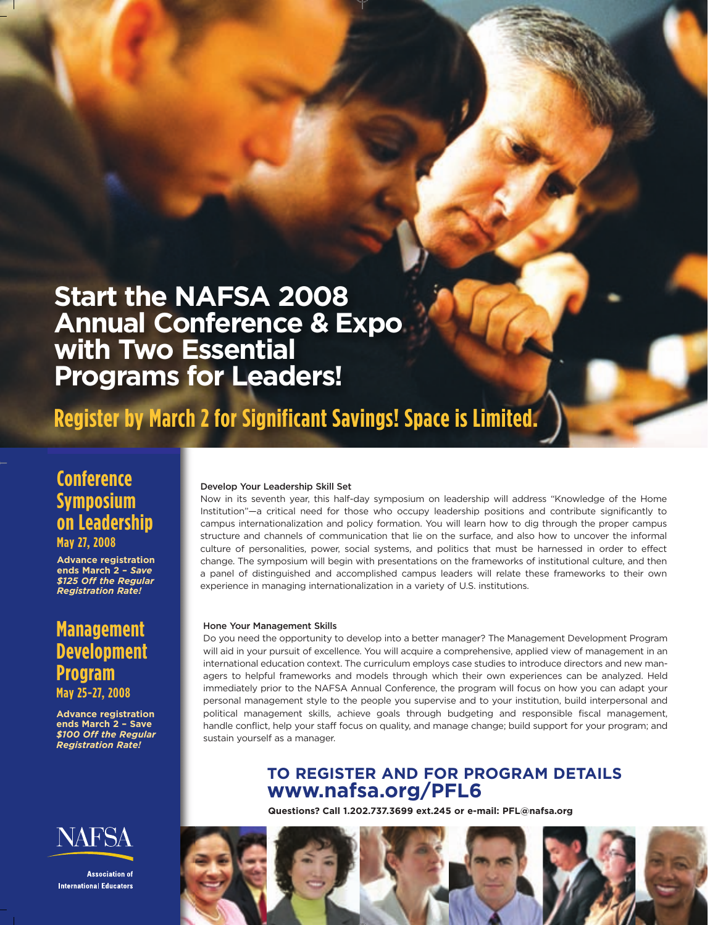**Start the NAFSA 2008 Annual Conference & Expo with Two Essential Programs for Leaders! Start the NAFSA 2008<br>Annual Conference & Expo with Two Essential<br>Programs for Leaders!** 

**Register by March 2 for Significant Savings! Space is Limited.** 

## **Conference 0\[SR\_R[PR Symposium on Leadership**  $May 27, 2008$

**Advance registration .QcN[PR \_RTV`a\_NaV\[** ends March 2 - Save \$125 Off the Regular  $Registration Rate!$ 

## **Management Development 1RcRY\]ZR[a Program =\_\T\_NZ May 25-27, 2008**

**Advance registration .QcN[PR \_RTV`a\_NaV\[** ends March 2 - Save \$100 Off the Regular  $Registration Rate!$ 



**Association of International Educators** 

#### Develop Your Leadership Skill Set

Now in its seventh year, this half-day symposium on leadership will address "Knowledge of the Home Institution"—a critical need for those who occupy leadership positions and contribute significantly to campus internationalization and policy formation. You will learn how to dig through the proper campus campus internationalization and policy formation. You will learn how to dig through the proper campus<br>structure and channels of communication that lie on the surface, and also how to uncover the informal culture of personalities, power, social systems, and politics that must be harnessed in order to effect change. The symposium will begin with presentations on the frameworks of institutional culture, and then a panel of distinguished and accomplished campus leaders will relate these frameworks to their own experience in managing internationalization in a variety of U.S. institutions.

#### Hone Your Management Skills

Do you need the opportunity to develop into a better manager? The Management Development Program will aid in your pursuit of excellence. You will acquire a comprehensive, applied view of management in an international education context. The curriculum employs case studies to introduce directors and new managers to helpful frameworks and models through which their own experiences can be analyzed. Held immediately prior to the NAFSA Annual Conference, the program will focus on how you can adapt your personal management style to the people you supervise and to your institution, build interpersonal and political management skills, achieve goals through budgeting and responsible fiscal management, handle conflict, help your staff focus on quality, and manage change; build support for your program; and sustain yourself as a manager.

## **TO REGISTER AND FOR PROGRAM DETAILS** www.nafsa.org/PFL6

Questions? Call 1.202.737.3699 ext.245 or e-mail: PFL@nafsa.org